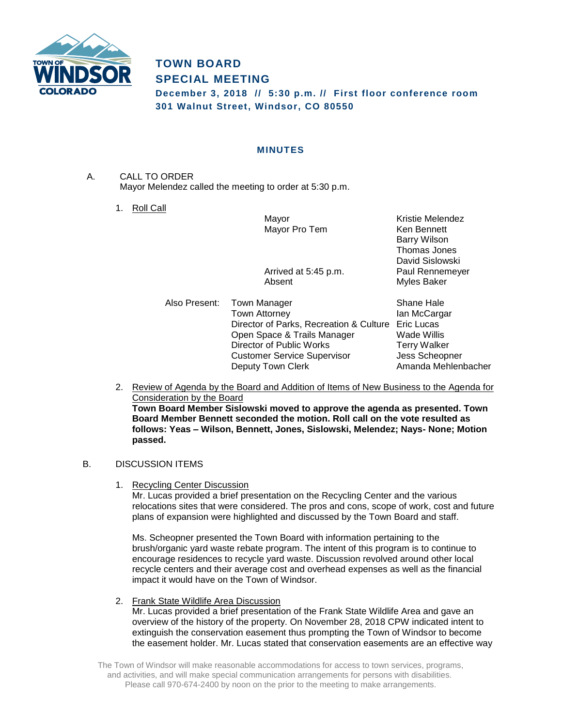

# **TOWN BOARD SPECIAL MEETING**

**December 3, 2018 // 5:30 p.m. // First floor conference room 301 Walnut Street, Windsor, CO 80550**

## **MINUTES**

A. CALL TO ORDER Mayor Melendez called the meeting to order at 5:30 p.m.

1. Roll Call

Mayor **Mayor** Kristie Melendez Mayor Pro Tem Ken Bennett

Arrived at 5:45 p.m. Paul Rennemeyer Absent Myles Baker

Also Present: Town Manager Shane Hale Town Attorney **Ian McCargar** Director of Parks, Recreation & Culture Eric Lucas Open Space & Trails Manager Wade Willis Director of Public Works Terry Walker Customer Service Supervisor Jess Scheopner Deputy Town Clerk **Amanda Mehlenbacher** 

Barry Wilson Thomas Jones David Sislowski

2. Review of Agenda by the Board and Addition of Items of New Business to the Agenda for Consideration by the Board **Town Board Member Sislowski moved to approve the agenda as presented. Town Board Member Bennett seconded the motion. Roll call on the vote resulted as follows: Yeas – Wilson, Bennett, Jones, Sislowski, Melendez; Nays- None; Motion passed.**

## B. DISCUSSION ITEMS

1. Recycling Center Discussion

Mr. Lucas provided a brief presentation on the Recycling Center and the various relocations sites that were considered. The pros and cons, scope of work, cost and future plans of expansion were highlighted and discussed by the Town Board and staff.

Ms. Scheopner presented the Town Board with information pertaining to the brush/organic yard waste rebate program. The intent of this program is to continue to encourage residences to recycle yard waste. Discussion revolved around other local recycle centers and their average cost and overhead expenses as well as the financial impact it would have on the Town of Windsor.

2. Frank State Wildlife Area Discussion

Mr. Lucas provided a brief presentation of the Frank State Wildlife Area and gave an overview of the history of the property. On November 28, 2018 CPW indicated intent to extinguish the conservation easement thus prompting the Town of Windsor to become the easement holder. Mr. Lucas stated that conservation easements are an effective way

The Town of Windsor will make reasonable accommodations for access to town services, programs, and activities, and will make special communication arrangements for persons with disabilities. Please call 970-674-2400 by noon on the prior to the meeting to make arrangements.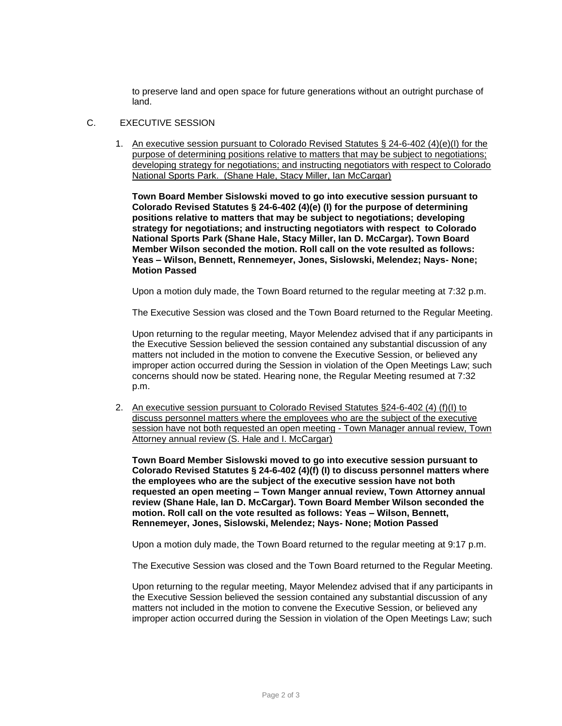to preserve land and open space for future generations without an outright purchase of land.

### C. EXECUTIVE SESSION

1. An executive session pursuant to Colorado Revised Statutes § 24-6-402 (4)(e)(I) for the purpose of determining positions relative to matters that may be subject to negotiations; developing strategy for negotiations; and instructing negotiators with respect to Colorado National Sports Park. (Shane Hale, Stacy Miller, Ian McCargar)

**Town Board Member Sislowski moved to go into executive session pursuant to Colorado Revised Statutes § 24-6-402 (4)(e) (I) for the purpose of determining positions relative to matters that may be subject to negotiations; developing strategy for negotiations; and instructing negotiators with respect to Colorado National Sports Park (Shane Hale, Stacy Miller, Ian D. McCargar). Town Board Member Wilson seconded the motion. Roll call on the vote resulted as follows: Yeas – Wilson, Bennett, Rennemeyer, Jones, Sislowski, Melendez; Nays- None; Motion Passed**

Upon a motion duly made, the Town Board returned to the regular meeting at 7:32 p.m.

The Executive Session was closed and the Town Board returned to the Regular Meeting.

Upon returning to the regular meeting, Mayor Melendez advised that if any participants in the Executive Session believed the session contained any substantial discussion of any matters not included in the motion to convene the Executive Session, or believed any improper action occurred during the Session in violation of the Open Meetings Law; such concerns should now be stated. Hearing none, the Regular Meeting resumed at 7:32 p.m.

2. An executive session pursuant to Colorado Revised Statutes §24-6-402 (4) (f)(I) to discuss personnel matters where the employees who are the subject of the executive session have not both requested an open meeting - Town Manager annual review, Town Attorney annual review (S. Hale and I. McCargar)

**Town Board Member Sislowski moved to go into executive session pursuant to Colorado Revised Statutes § 24-6-402 (4)(f) (I) to discuss personnel matters where the employees who are the subject of the executive session have not both requested an open meeting – Town Manger annual review, Town Attorney annual review (Shane Hale, Ian D. McCargar). Town Board Member Wilson seconded the motion. Roll call on the vote resulted as follows: Yeas – Wilson, Bennett, Rennemeyer, Jones, Sislowski, Melendez; Nays- None; Motion Passed**

Upon a motion duly made, the Town Board returned to the regular meeting at 9:17 p.m.

The Executive Session was closed and the Town Board returned to the Regular Meeting.

Upon returning to the regular meeting, Mayor Melendez advised that if any participants in the Executive Session believed the session contained any substantial discussion of any matters not included in the motion to convene the Executive Session, or believed any improper action occurred during the Session in violation of the Open Meetings Law; such